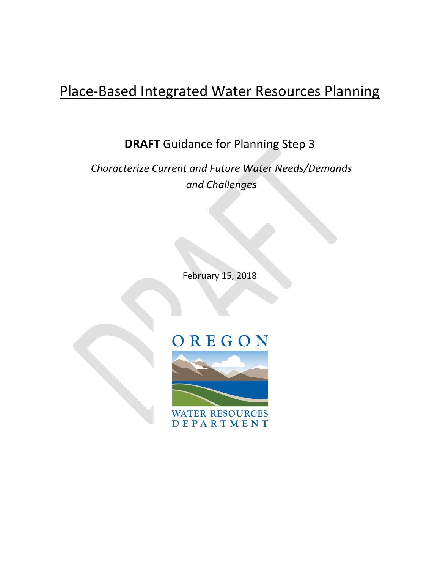# Place-Based Integrated Water Resources Planning

# **DRAFT** Guidance for Planning Step 3

# *Characterize Current and Future Water Needs/Demands and Challenges*

February 15, 2018

# OREGON



**WATER RESOURCES** DEPARTMENT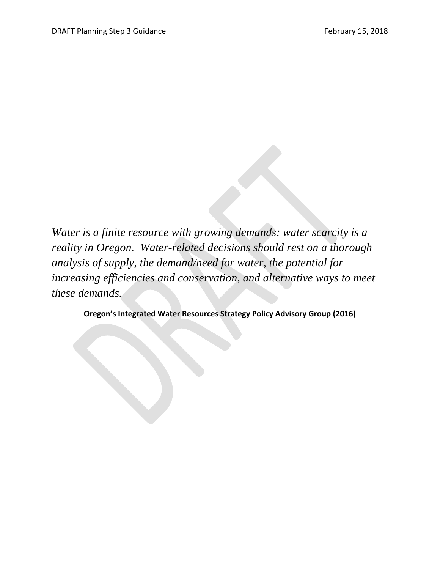*Water is a finite resource with growing demands; water scarcity is a reality in Oregon. Water-related decisions should rest on a thorough analysis of supply, the demand/need for water, the potential for increasing efficiencies and conservation, and alternative ways to meet these demands.*

**Oregon's Integrated Water Resources Strategy Policy Advisory Group (2016)**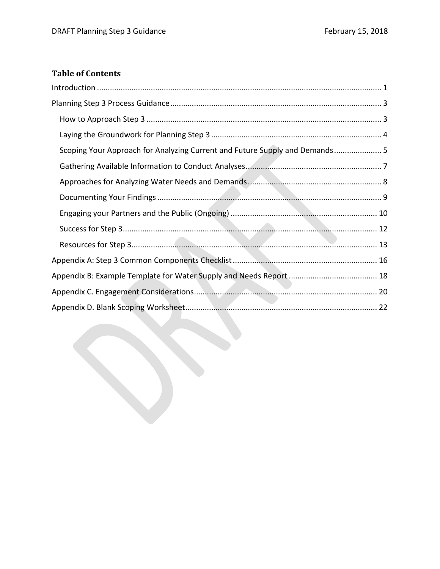## **Table of Contents**

| Scoping Your Approach for Analyzing Current and Future Supply and Demands 5 |  |
|-----------------------------------------------------------------------------|--|
|                                                                             |  |
|                                                                             |  |
|                                                                             |  |
|                                                                             |  |
|                                                                             |  |
|                                                                             |  |
|                                                                             |  |
|                                                                             |  |
|                                                                             |  |
|                                                                             |  |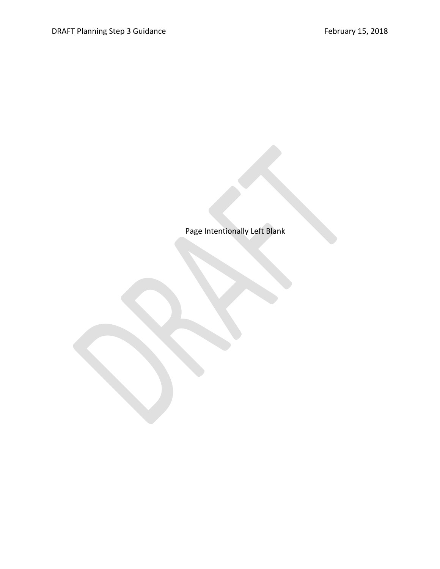Page Intentionally Left Blank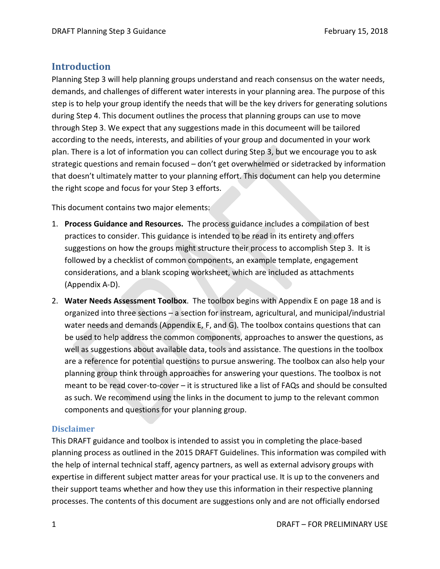### <span id="page-4-0"></span>**Introduction**

Planning Step 3 will help planning groups understand and reach consensus on the water needs, demands, and challenges of different water interests in your planning area. The purpose of this step is to help your group identify the needs that will be the key drivers for generating solutions during Step 4. This document outlines the process that planning groups can use to move through Step 3. We expect that any suggestions made in this documeent will be tailored according to the needs, interests, and abilities of your group and documented in your work plan. There is a lot of information you can collect during Step 3, but we encourage you to ask strategic questions and remain focused – don't get overwhelmed or sidetracked by information that doesn't ultimately matter to your planning effort. This document can help you determine the right scope and focus for your Step 3 efforts.

This document contains two major elements:

- 1. **Process Guidance and Resources.** The process guidance includes a compilation of best practices to consider. This guidance is intended to be read in its entirety and offers suggestions on how the groups might structure their process to accomplish Step 3. It is followed by a checklist of common components, an example template, engagement considerations, and a blank scoping worksheet, which are included as attachments (Appendix A-D).
- 2. **Water Needs Assessment Toolbox**. The toolbox begins with Appendix E on page 18 and is organized into three sections – a section for instream, agricultural, and municipal/industrial water needs and demands (Appendix E, F, and G). The toolbox contains questions that can be used to help address the common components, approaches to answer the questions, as well as suggestions about available data, tools and assistance. The questions in the toolbox are a reference for potential questions to pursue answering. The toolbox can also help your planning group think through approaches for answering your questions. The toolbox is not meant to be read cover-to-cover – it is structured like a list of FAQs and should be consulted as such. We recommend using the links in the document to jump to the relevant common components and questions for your planning group.

### **Disclaimer**

This DRAFT guidance and toolbox is intended to assist you in completing the place-based planning process as outlined in the 2015 DRAFT Guidelines. This information was compiled with the help of internal technical staff, agency partners, as well as external advisory groups with expertise in different subject matter areas for your practical use. It is up to the conveners and their support teams whether and how they use this information in their respective planning processes. The contents of this document are suggestions only and are not officially endorsed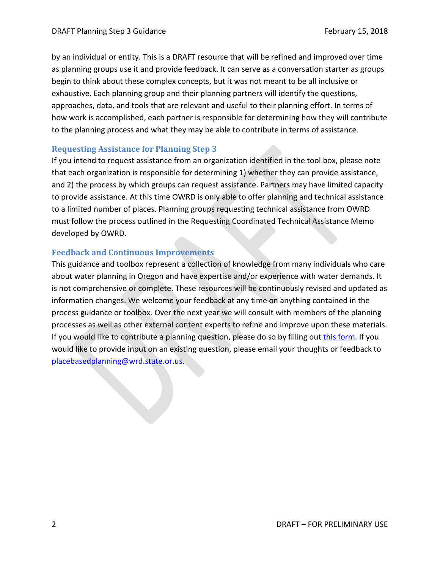by an individual or entity. This is a DRAFT resource that will be refined and improved over time as planning groups use it and provide feedback. It can serve as a conversation starter as groups begin to think about these complex concepts, but it was not meant to be all inclusive or exhaustive. Each planning group and their planning partners will identify the questions, approaches, data, and tools that are relevant and useful to their planning effort. In terms of how work is accomplished, each partner is responsible for determining how they will contribute to the planning process and what they may be able to contribute in terms of assistance.

### **Requesting Assistance for Planning Step 3**

If you intend to request assistance from an organization identified in the tool box, please note that each organization is responsible for determining 1) whether they can provide assistance, and 2) the process by which groups can request assistance. Partners may have limited capacity to provide assistance. At this time OWRD is only able to offer planning and technical assistance to a limited number of places. Planning groups requesting technical assistance from OWRD must follow the process outlined in the Requesting Coordinated Technical Assistance Memo developed by OWRD.

### **Feedback and Continuous Improvements**

This guidance and toolbox represent a collection of knowledge from many individuals who care about water planning in Oregon and have expertise and/or experience with water demands. It is not comprehensive or complete. These resources will be continuously revised and updated as information changes. We welcome your feedback at any time on anything contained in the process guidance or toolbox. Over the next year we will consult with members of the planning processes as well as other external content experts to refine and improve upon these materials. If you would like to contribute a planning question, please do so by filling out [this form.](https://docs.google.com/forms/d/e/1FAIpQLScDjg3bT7xj7SdXCpPGPCDIyTyidTJOxint_NleDs7ydwErNg/viewform) If you would like to provide input on an existing question, please email your thoughts or feedback to [placebasedplanning@wrd.state.or.us.](mailto:placebasedplanning@wrd.state.or.us)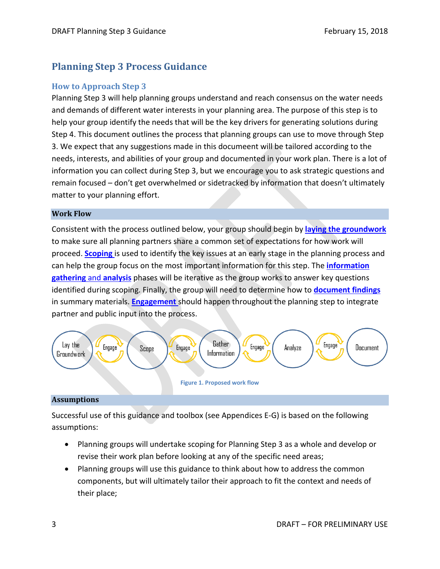## <span id="page-6-0"></span>**Planning Step 3 Process Guidance**

### <span id="page-6-1"></span>**How to Approach Step 3**

Planning Step 3 will help planning groups understand and reach consensus on the water needs and demands of different water interests in your planning area. The purpose of this step is to help your group identify the needs that will be the key drivers for generating solutions during Step 4. This document outlines the process that planning groups can use to move through Step 3. We expect that any suggestions made in this documeent will be tailored according to the needs, interests, and abilities of your group and documented in your work plan. There is a lot of information you can collect during Step 3, but we encourage you to ask strategic questions and remain focused – don't get overwhelmed or sidetracked by information that doesn't ultimately matter to your planning effort.

### **Work Flow**

Consistent with the process outlined below, your group should begin b[y](#page-7-1) **[laying the groundwork](#page-7-1)** to make sure all planning partners share a common set of expectations for how work will proceed. **[Scoping](#page-8-0)** [is](#page-8-0) used to identify the key issues at an early stage in the planning process and can help the group focus on the most important information for this step. The **[information](#page-9-0)  [gathering](#page-9-0)** and **analysis** phases will be iterative as the group works to answer key questions identified during scoping. Finally, the group will need to determine how t[o](#page-12-0) **[document findings](#page-12-0)** in summary materials. **[Engagement](#page-23-0)** should happen throughout the planning step to integrate partner and public input into the process.



### **Assumptions**

Successful use of this guidance and toolbox (see Appendices E-G) is based on the following assumptions:

- Planning groups will undertake scoping for Planning Step 3 as a whole and develop or revise their work plan before looking at any of the specific need areas;
- Planning groups will use this guidance to think about how to address the common components, but will ultimately tailor their approach to fit the context and needs of their place;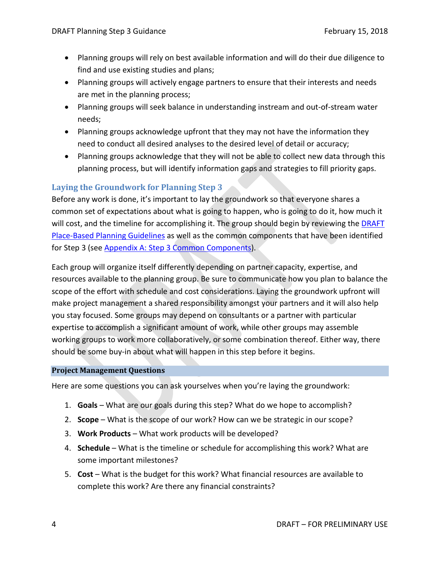- Planning groups will rely on best available information and will do their due diligence to find and use existing studies and plans;
- Planning groups will actively engage partners to ensure that their interests and needs are met in the planning process;
- Planning groups will seek balance in understanding instream and out-of-stream water needs;
- Planning groups acknowledge upfront that they may not have the information they need to conduct all desired analyses to the desired level of detail or accuracy;
- <span id="page-7-1"></span>• Planning groups acknowledge that they will not be able to collect new data through this planning process, but will identify information gaps and strategies to fill priority gaps.

### <span id="page-7-0"></span>**Laying the Groundwork for Planning Step 3**

Before any work is done, it's important to lay the groundwork so that everyone shares a common set of expectations about what is going to happen, who is going to do it, how much it will cost, and the timeline for accomplishing it. The group should begin by reviewing the DRAFT [Place-Based Planning Guidelines](http://www.oregon.gov/owrd/LAW/docs/IWRS/2015_February_Draft_Place_Based_Guidelines.pdf) as well as the common components that have been identified for Step 3 (see [Appendix A: Step 3 Common Components\)](#page-19-0).

Each group will organize itself differently depending on partner capacity, expertise, and resources available to the planning group. Be sure to communicate how you plan to balance the scope of the effort with schedule and cost considerations. Laying the groundwork upfront will make project management a shared responsibility amongst your partners and it will also help you stay focused. Some groups may depend on consultants or a partner with particular expertise to accomplish a significant amount of work, while other groups may assemble working groups to work more collaboratively, or some combination thereof. Either way, there should be some buy-in about what will happen in this step before it begins.

### **Project Management Questions**

Here are some questions you can ask yourselves when you're laying the groundwork:

- 1. **Goals** What are our goals during this step? What do we hope to accomplish?
- 2. **Scope** What is the scope of our work? How can we be strategic in our scope?
- 3. **Work Products**  What work products will be developed?
- 4. **Schedule** What is the timeline or schedule for accomplishing this work? What are some important milestones?
- 5. **Cost** What is the budget for this work? What financial resources are available to complete this work? Are there any financial constraints?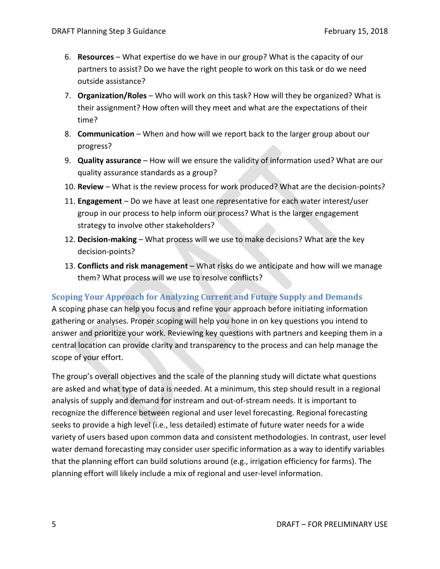- 6. **Resources** What expertise do we have in our group? What is the capacity of our partners to assist? Do we have the right people to work on this task or do we need outside assistance?
- 7. **Organization/Roles** Who will work on this task? How will they be organized? What is their assignment? How often will they meet and what are the expectations of their time?
- 8. **Communication** When and how will we report back to the larger group about our progress?
- 9. **Quality assurance** How will we ensure the validity of information used? What are our quality assurance standards as a group?
- 10. **Review** What is the review process for work produced? What are the decision-points?
- 11. **Engagement** Do we have at least one representative for each water interest/user group in our process to help inform our process? What is the larger engagement strategy to involve other stakeholders?
- 12. **Decision-making** What process will we use to make decisions? What are the key decision-points?
- 13. **Conflicts and risk management** What risks do we anticipate and how will we manage them? What process will we use to resolve conflicts?

<span id="page-8-0"></span>**Scoping Your Approach for Analyzing Current and Future Supply and Demands** A scoping phase can help you focus and refine your approach before initiating information gathering or analyses. Proper scoping will help you hone in on key questions you intend to answer and prioritize your work. Reviewing key questions with partners and keeping them in a central location can provide clarity and transparency to the process and can help manage the

scope of your effort.

The group's overall objectives and the scale of the planning study will dictate what questions are asked and what type of data is needed. At a minimum, this step should result in a regional analysis of supply and demand for instream and out-of-stream needs. It is important to recognize the difference between regional and user level forecasting. Regional forecasting seeks to provide a high level (i.e., less detailed) estimate of future water needs for a wide variety of users based upon common data and consistent methodologies. In contrast, user level water demand forecasting may consider user specific information as a way to identify variables that the planning effort can build solutions around (e.g., irrigation efficiency for farms). The planning effort will likely include a mix of regional and user-level information.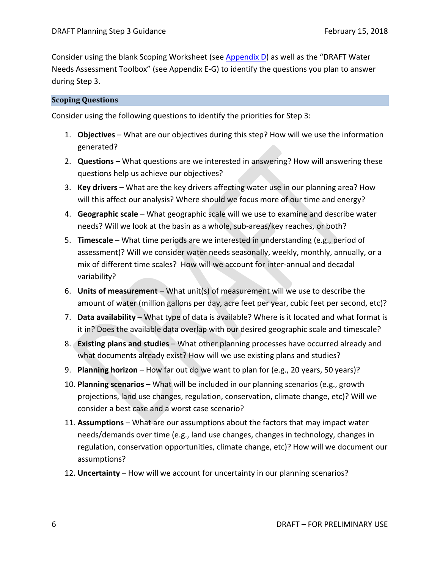Consider using the blank Scoping Worksheet (see [Appendix D\)](#page-25-0) as well as the "DRAFT Water Needs Assessment Toolbox" (see Appendix E-G) to identify the questions you plan to answer during Step 3.

### **Scoping Questions**

Consider using the following questions to identify the priorities for Step 3:

- 1. **Objectives** What are our objectives during this step? How will we use the information generated?
- 2. **Questions** What questions are we interested in answering? How will answering these questions help us achieve our objectives?
- 3. **Key drivers** What are the key drivers affecting water use in our planning area? How will this affect our analysis? Where should we focus more of our time and energy?
- 4. **Geographic scale** What geographic scale will we use to examine and describe water needs? Will we look at the basin as a whole, sub-areas/key reaches, or both?
- 5. **Timescale** What time periods are we interested in understanding (e.g., period of assessment)? Will we consider water needs seasonally, weekly, monthly, annually, or a mix of different time scales? How will we account for inter-annual and decadal variability?
- 6. **Units of measurement** What unit(s) of measurement will we use to describe the amount of water (million gallons per day, acre feet per year, cubic feet per second, etc)?
- 7. **Data availability**  What type of data is available? Where is it located and what format is it in? Does the available data overlap with our desired geographic scale and timescale?
- 8. **Existing plans and studies** What other planning processes have occurred already and what documents already exist? How will we use existing plans and studies?
- 9. **Planning horizon** How far out do we want to plan for (e.g., 20 years, 50 years)?
- 10. **Planning scenarios**  What will be included in our planning scenarios (e.g., growth projections, land use changes, regulation, conservation, climate change, etc)? Will we consider a best case and a worst case scenario?
- 11. **Assumptions** What are our assumptions about the factors that may impact water needs/demands over time (e.g., land use changes, changes in technology, changes in regulation, conservation opportunities, climate change, etc)? How will we document our assumptions?
- <span id="page-9-0"></span>12. **Uncertainty** – How will we account for uncertainty in our planning scenarios?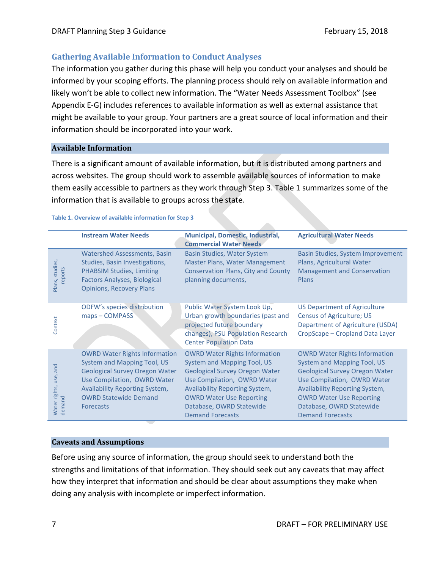### <span id="page-10-0"></span>**Gathering Available Information to Conduct Analyses**

The information you gather during this phase will help you conduct your analyses and should be informed by your scoping efforts. The planning process should rely on available information and likely won't be able to collect new information. The "Water Needs Assessment Toolbox" (see Appendix E-G) includes references to available information as well as external assistance that might be available to your group. Your partners are a great source of local information and their information should be incorporated into your work.

### **Available Information**

There is a significant amount of available information, but it is distributed among partners and across websites. The group should work to assemble available sources of information to make them easily accessible to partners as they work through Step 3. Table 1 summarizes some of the information that is available to groups across the state.

#### **Table 1. Overview of available information for Step 3**

|                                        | <b>Instream Water Needs</b>                                                                                                                                                                                                              | Municipal, Domestic, Industrial,<br><b>Commercial Water Needs</b>                                                                                                                                                                                                              | <b>Agricultural Water Needs</b>                                                                                                                                                                                                                                         |
|----------------------------------------|------------------------------------------------------------------------------------------------------------------------------------------------------------------------------------------------------------------------------------------|--------------------------------------------------------------------------------------------------------------------------------------------------------------------------------------------------------------------------------------------------------------------------------|-------------------------------------------------------------------------------------------------------------------------------------------------------------------------------------------------------------------------------------------------------------------------|
| Plans, studies,<br>reports             | <b>Watershed Assessments, Basin</b><br>Studies, Basin Investigations,<br><b>PHABSIM Studies, Limiting</b><br><b>Factors Analyses, Biological</b><br><b>Opinions, Recovery Plans</b>                                                      | Basin Studies, Water System<br>Master Plans, Water Management<br><b>Conservation Plans, City and County</b><br>planning documents,                                                                                                                                             | Basin Studies, System Improvement<br>Plans, Agricultural Water<br><b>Management and Conservation</b><br><b>Plans</b>                                                                                                                                                    |
| Context                                | ODFW's species distribution<br>maps - COMPASS                                                                                                                                                                                            | Public Water System Look Up,<br>Urban growth boundaries (past and<br>projected future boundary<br>changes), PSU Population Research<br><b>Center Population Data</b>                                                                                                           | <b>US Department of Agriculture</b><br><b>Census of Agriculture; US</b><br>Department of Agriculture (USDA)<br>CropScape – Cropland Data Layer                                                                                                                          |
| and<br>use,<br>Nater rights,<br>demand | <b>OWRD Water Rights Information</b><br><b>System and Mapping Tool, US</b><br><b>Geological Survey Oregon Water</b><br>Use Compilation, OWRD Water<br>Availability Reporting System,<br><b>OWRD Statewide Demand</b><br><b>Forecasts</b> | <b>OWRD Water Rights Information</b><br>System and Mapping Tool, US<br><b>Geological Survey Oregon Water</b><br>Use Compilation, OWRD Water<br><b>Availability Reporting System,</b><br><b>OWRD Water Use Reporting</b><br>Database, OWRD Statewide<br><b>Demand Forecasts</b> | <b>OWRD Water Rights Information</b><br>System and Mapping Tool, US<br><b>Geological Survey Oregon Water</b><br>Use Compilation, OWRD Water<br>Availability Reporting System,<br><b>OWRD Water Use Reporting</b><br>Database, OWRD Statewide<br><b>Demand Forecasts</b> |

### **Caveats and Assumptions**

Before using any source of information, the group should seek to understand both the strengths and limitations of that information. They should seek out any caveats that may affect how they interpret that information and should be clear about assumptions they make when doing any analysis with incomplete or imperfect information.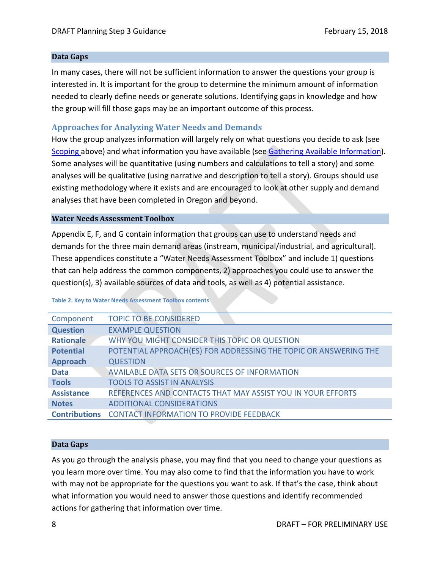#### **Data Gaps**

In many cases, there will not be sufficient information to answer the questions your group is interested in. It is important for the group to determine the minimum amount of information needed to clearly define needs or generate solutions. Identifying gaps in knowledge and how the group will fill those gaps may be an important outcome of this process.

### <span id="page-11-0"></span>**Approaches for Analyzing Water Needs and Demands**

How the group analyzes information will largely rely on what questions you decide to ask (see [Scoping a](#page-8-0)bove) and what information you have available (se[e Gathering Available Information\)](#page-9-0). Some analyses will be quantitative (using numbers and calculations to tell a story) and some analyses will be qualitative (using narrative and description to tell a story). Groups should use existing methodology where it exists and are encouraged to look at other supply and demand analyses that have been completed in Oregon and beyond.

### **Water Needs Assessment Toolbox**

Appendix E, F, and G contain information that groups can use to understand needs and demands for the three main demand areas (instream, municipal/industrial, and agricultural). These appendices constitute a "Water Needs Assessment Toolbox" and include 1) questions that can help address the common components, 2) approaches you could use to answer the question(s), 3) available sources of data and tools, as well as 4) potential assistance.

| Component         | <b>TOPIC TO BE CONSIDERED</b>                                    |
|-------------------|------------------------------------------------------------------|
| <b>Question</b>   | <b>EXAMPLE QUESTION</b>                                          |
| <b>Rationale</b>  | WHY YOU MIGHT CONSIDER THIS TOPIC OR QUESTION                    |
| <b>Potential</b>  | POTENTIAL APPROACH(ES) FOR ADDRESSING THE TOPIC OR ANSWERING THE |
| <b>Approach</b>   | <b>QUESTION</b>                                                  |
| <b>Data</b>       | AVAILABLE DATA SETS OR SOURCES OF INFORMATION                    |
| <b>Tools</b>      | <b>TOOLS TO ASSIST IN ANALYSIS</b>                               |
| <b>Assistance</b> | REFERENCES AND CONTACTS THAT MAY ASSIST YOU IN YOUR EFFORTS      |
| <b>Notes</b>      | <b>ADDITIONAL CONSIDERATIONS</b>                                 |
|                   | <b>Contributions</b> CONTACT INFORMATION TO PROVIDE FEEDBACK     |

#### **Table 2. Key to Water Needs Assessment Toolbox contents**

### **Data Gaps**

As you go through the analysis phase, you may find that you need to change your questions as you learn more over time. You may also come to find that the information you have to work with may not be appropriate for the questions you want to ask. If that's the case, think about what information you would need to answer those questions and identify recommended actions for gathering that information over time.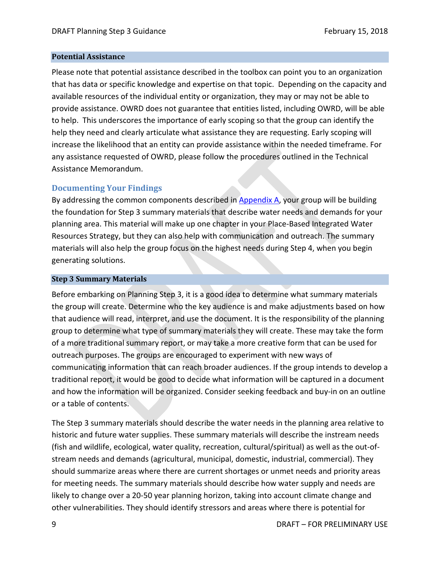#### **Potential Assistance**

Please note that potential assistance described in the toolbox can point you to an organization that has data or specific knowledge and expertise on that topic. Depending on the capacity and available resources of the individual entity or organization, they may or may not be able to provide assistance. OWRD does not guarantee that entities listed, including OWRD, will be able to help. This underscores the importance of early scoping so that the group can identify the help they need and clearly articulate what assistance they are requesting. Early scoping will increase the likelihood that an entity can provide assistance within the needed timeframe. For any assistance requested of OWRD, please follow the procedures outlined in the Technical Assistance Memorandum.

### <span id="page-12-0"></span>**Documenting Your Findings**

By addressing the common components described i[n Appendix A,](#page-19-0) your group will be building the foundation for Step 3 summary materials that describe water needs and demands for your planning area. This material will make up one chapter in your Place-Based Integrated Water Resources Strategy, but they can also help with communication and outreach. The summary materials will also help the group focus on the highest needs during Step 4, when you begin generating solutions.

### **Step 3 Summary Materials**

Before embarking on Planning Step 3, it is a good idea to determine what summary materials the group will create. Determine who the key audience is and make adjustments based on how that audience will read, interpret, and use the document. It is the responsibility of the planning group to determine what type of summary materials they will create. These may take the form of a more traditional summary report, or may take a more creative form that can be used for outreach purposes. The groups are encouraged to experiment with new ways of communicating information that can reach broader audiences. If the group intends to develop a traditional report, it would be good to decide what information will be captured in a document and how the information will be organized. Consider seeking feedback and buy-in on an outline or a table of contents.

The Step 3 summary materials should describe the water needs in the planning area relative to historic and future water supplies. These summary materials will describe the instream needs (fish and wildlife, ecological, water quality, recreation, cultural/spiritual) as well as the out-ofstream needs and demands (agricultural, municipal, domestic, industrial, commercial). They should summarize areas where there are current shortages or unmet needs and priority areas for meeting needs. The summary materials should describe how water supply and needs are likely to change over a 20-50 year planning horizon, taking into account climate change and other vulnerabilities. They should identify stressors and areas where there is potential for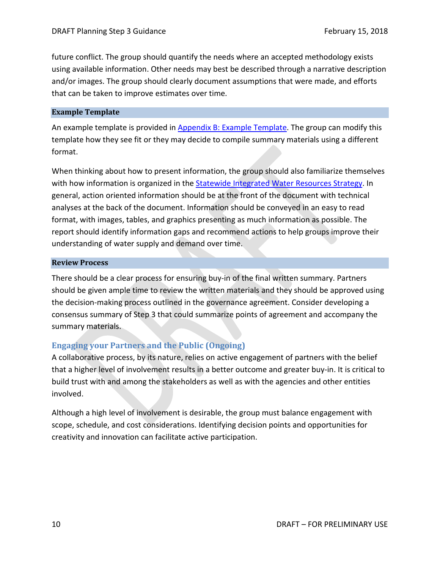future conflict. The group should quantify the needs where an accepted methodology exists using available information. Other needs may best be described through a narrative description and/or images. The group should clearly document assumptions that were made, and efforts that can be taken to improve estimates over time.

### **Example Template**

An example template is provided in [Appendix B: Example Template.](#page-21-0) The group can modify this template how they see fit or they may decide to compile summary materials using a different format.

When thinking about how to present information, the group should also familiarize themselves with how information is organized in the [Statewide Integrated Water Resources Strategy.](http://www.oregon.gov/owrd/LAW/docs/IWRS/2017_IWRS_Final.pdf) In general, action oriented information should be at the front of the document with technical analyses at the back of the document. Information should be conveyed in an easy to read format, with images, tables, and graphics presenting as much information as possible. The report should identify information gaps and recommend actions to help groups improve their understanding of water supply and demand over time.

### **Review Process**

There should be a clear process for ensuring buy-in of the final written summary. Partners should be given ample time to review the written materials and they should be approved using the decision-making process outlined in the governance agreement. Consider developing a consensus summary of Step 3 that could summarize points of agreement and accompany the summary materials.

### <span id="page-13-0"></span>**Engaging your Partners and the Public (Ongoing)**

A collaborative process, by its nature, relies on active engagement of partners with the belief that a higher level of involvement results in a better outcome and greater buy-in. It is critical to build trust with and among the stakeholders as well as with the agencies and other entities involved.

Although a high level of involvement is desirable, the group must balance engagement with scope, schedule, and cost considerations. Identifying decision points and opportunities for creativity and innovation can facilitate active participation.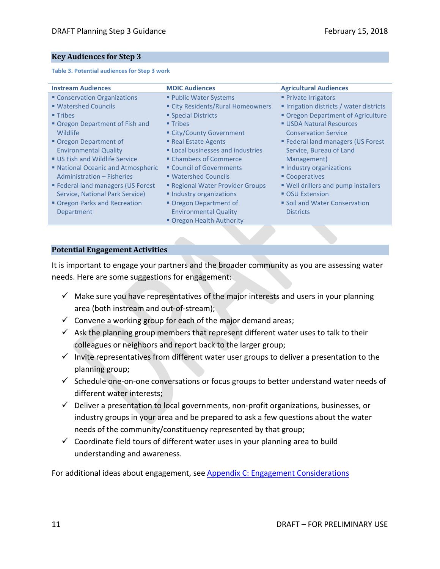### **Key Audiences for Step 3**

**Table 3. Potential audiences for Step 3 work**

| <b>Instream Audiences</b>          | <b>MDIC Audiences</b>                   | <b>Agricultural Audiences</b>                     |
|------------------------------------|-----------------------------------------|---------------------------------------------------|
| • Conservation Organizations       | <b>Public Water Systems</b>             | <b>Private Irrigators</b>                         |
| ■ Watershed Councils               | " City Residents/Rural Homeowners       | Irrigation districts / water districts            |
| ■ Tribes                           | ■ Special Districts                     | " Oregon Department of Agriculture                |
| • Oregon Department of Fish and    | ■ Tribes                                | <b>USDA Natural Resources</b>                     |
| Wildlife                           | ■ City/County Government                | <b>Conservation Service</b>                       |
| • Oregon Department of             | <b>Real Estate Agents</b>               | <b>Example 1</b> Federal land managers (US Forest |
| <b>Environmental Quality</b>       | " Local businesses and industries       | Service, Bureau of Land                           |
| US Fish and Wildlife Service       | • Chambers of Commerce                  | Management)                                       |
| ■ National Oceanic and Atmospheric | " Council of Governments                | · Industry organizations                          |
| Administration - Fisheries         | ■ Watershed Councils                    | • Cooperatives                                    |
| ■ Federal land managers (US Forest | <b>- Regional Water Provider Groups</b> | " Well drillers and pump installers               |
| Service, National Park Service)    | <b>Industry organizations</b>           | OSU Extension                                     |
| " Oregon Parks and Recreation      | • Oregon Department of                  | • Soil and Water Conservation                     |
| Department                         | <b>Environmental Quality</b>            | <b>Districts</b>                                  |
|                                    | • Oregon Health Authority               |                                                   |

### **Potential Engagement Activities**

It is important to engage your partners and the broader community as you are assessing water needs. Here are some suggestions for engagement:

- $\checkmark$  Make sure you have representatives of the major interests and users in your planning area (both instream and out-of-stream);
- $\checkmark$  Convene a working group for each of the major demand areas;
- $\checkmark$  Ask the planning group members that represent different water uses to talk to their colleagues or neighbors and report back to the larger group;
- $\checkmark$  Invite representatives from different water user groups to deliver a presentation to the planning group;
- $\checkmark$  Schedule one-on-one conversations or focus groups to better understand water needs of different water interests;
- $\checkmark$  Deliver a presentation to local governments, non-profit organizations, businesses, or industry groups in your area and be prepared to ask a few questions about the water needs of the community/constituency represented by that group;
- $\checkmark$  Coordinate field tours of different water uses in your planning area to build understanding and awareness.

For additional ideas about engagement, see [Appendix C: Engagement Considerations](#page-23-0)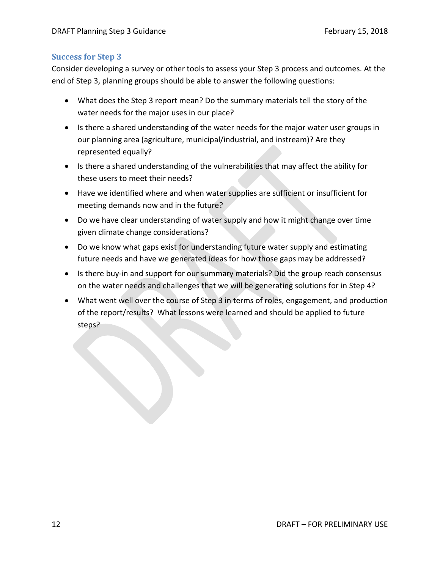### <span id="page-15-0"></span>**Success for Step 3**

Consider developing a survey or other tools to assess your Step 3 process and outcomes. At the end of Step 3, planning groups should be able to answer the following questions:

- What does the Step 3 report mean? Do the summary materials tell the story of the water needs for the major uses in our place?
- Is there a shared understanding of the water needs for the major water user groups in our planning area (agriculture, municipal/industrial, and instream)? Are they represented equally?
- Is there a shared understanding of the vulnerabilities that may affect the ability for these users to meet their needs?
- Have we identified where and when water supplies are sufficient or insufficient for meeting demands now and in the future?
- Do we have clear understanding of water supply and how it might change over time given climate change considerations?
- Do we know what gaps exist for understanding future water supply and estimating future needs and have we generated ideas for how those gaps may be addressed?
- Is there buy-in and support for our summary materials? Did the group reach consensus on the water needs and challenges that we will be generating solutions for in Step 4?
- What went well over the course of Step 3 in terms of roles, engagement, and production of the report/results? What lessons were learned and should be applied to future steps?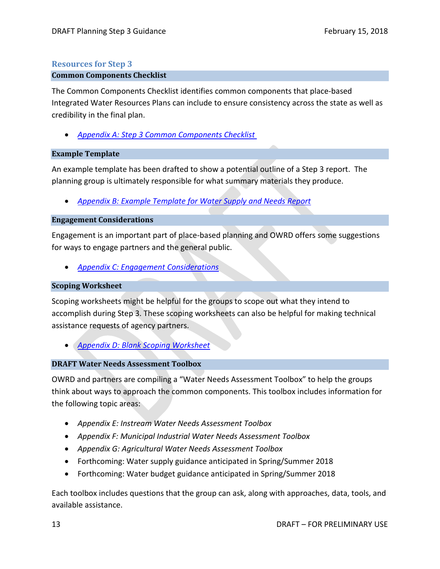### <span id="page-16-0"></span>**Resources for Step 3**

### **Common Components Checklist**

The Common Components Checklist identifies common components that place-based Integrated Water Resources Plans can include to ensure consistency across the state as well as credibility in the final plan.

• *[Appendix A: Step 3 Common Components Checklist](#page-19-0)* 

### **Example Template**

An example template has been drafted to show a potential outline of a Step 3 report. The planning group is ultimately responsible for what summary materials they produce.

• *Appendix B: [Example Template for Water Supply and Needs Report](#page-21-0)*

### **Engagement Considerations**

Engagement is an important part of place-based planning and OWRD offers some suggestions for ways to engage partners and the general public.

• *[Appendix C: Engagement Considerations](#page-23-0)*

### **Scoping Worksheet**

Scoping worksheets might be helpful for the groups to scope out what they intend to accomplish during Step 3. These scoping worksheets can also be helpful for making technical assistance requests of agency partners.

• *[Appendix D: Blank Scoping](#page-25-0) [Worksheet](#page-25-0)*

### **DRAFT Water Needs Assessment Toolbox**

OWRD and partners are compiling a "Water Needs Assessment Toolbox" to help the groups think about ways to approach the common components. This toolbox includes information for the following topic areas:

- *Appendix E: Instream Water Needs Assessment Toolbox*
- *Appendix F: Municipal Industrial Water Needs Assessment Toolbox*
- *Appendix G: Agricultural Water Needs Assessment Toolbox*
- Forthcoming: Water supply guidance anticipated in Spring/Summer 2018
- Forthcoming: Water budget guidance anticipated in Spring/Summer 2018

Each toolbox includes questions that the group can ask, along with approaches, data, tools, and available assistance.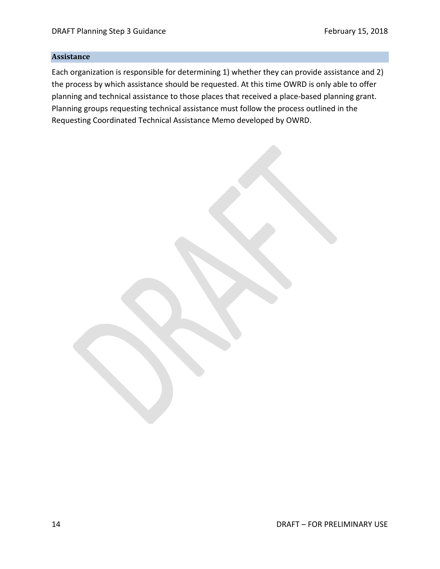### **Assistance**

Each organization is responsible for determining 1) whether they can provide assistance and 2) the process by which assistance should be requested. At this time OWRD is only able to offer planning and technical assistance to those places that received a place-based planning grant. Planning groups requesting technical assistance must follow the process outlined in the Requesting Coordinated Technical Assistance Memo developed by OWRD.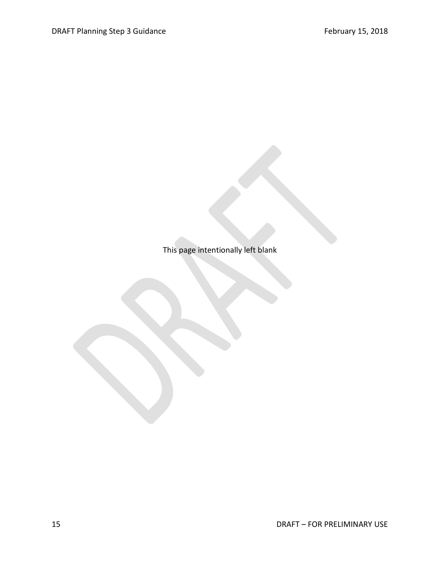## This page intentionally left blank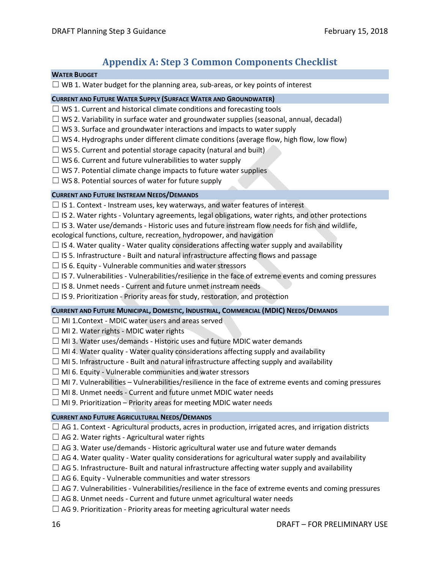## **Appendix A: Step 3 Common Components Checklist**

#### <span id="page-19-0"></span>**WATER BUDGET**

 $\Box$  WB 1. Water budget for the planning area, sub-areas, or key points of interest

### **CURRENT AND FUTURE WATER SUPPLY (SURFACE WATER AND GROUNDWATER)**

- $\Box$  WS 1. Current and historical climate conditions and forecasting tools
- $\Box$  WS 2. Variability in surface water and groundwater supplies (seasonal, annual, decadal)
- $\Box$  WS 3. Surface and groundwater interactions and impacts to water supply
- $\Box$  WS 4. Hydrographs under different climate conditions (average flow, high flow, low flow)
- $\Box$  WS 5. Current and potential storage capacity (natural and built)
- $\Box$  WS 6. Current and future vulnerabilities to water supply
- $\Box$  WS 7. Potential climate change impacts to future water supplies
- $\Box$  WS 8. Potential sources of water for future supply

### **CURRENT AND FUTURE INSTREAM NEEDS/DEMANDS**

- $\Box$  IS 1. Context Instream uses, key waterways, and water features of interest
- $\Box$  IS 2. Water rights Voluntary agreements, legal obligations, water rights, and other protections
- $\square$  IS 3. Water use/demands Historic uses and future instream flow needs for fish and wildlife,
- ecological functions, culture, recreation, hydropower, and navigation
- $\Box$  IS 4. Water quality Water quality considerations affecting water supply and availability
- $\Box$  IS 5. Infrastructure Built and natural infrastructure affecting flows and passage
- $\Box$  IS 6. Equity Vulnerable communities and water stressors
- □ IS 7. Vulnerabilities Vulnerabilities/resilience in the face of extreme events and coming pressures
- $\Box$  IS 8. Unmet needs Current and future unmet instream needs
- □ IS 9. Prioritization Priority areas for study, restoration, and protection

#### **CURRENT AND FUTURE MUNICIPAL, DOMESTIC, INDUSTRIAL, COMMERCIAL (MDIC) NEEDS/DEMANDS**

- $\Box$  MI 1. Context MDIC water users and areas served
- $\Box$  MI 2. Water rights MDIC water rights
- $\square$  MI 3. Water uses/demands Historic uses and future MDIC water demands
- $\Box$  MI 4. Water quality Water quality considerations affecting supply and availability
- $\square$  MI 5. Infrastructure Built and natural infrastructure affecting supply and availability
- $\Box$  MI 6. Equity Vulnerable communities and water stressors
- $\Box$  MI 7. Vulnerabilities Vulnerabilities/resilience in the face of extreme events and coming pressures
- ☐ MI 8. Unmet needs Current and future unmet MDIC water needs
- $\Box$  MI 9. Prioritization Priority areas for meeting MDIC water needs

#### **CURRENT AND FUTURE AGRICULTURAL NEEDS/DEMANDS**

- $\Box$  AG 1. Context Agricultural products, acres in production, irrigated acres, and irrigation districts
- $\Box$  AG 2. Water rights Agricultural water rights
- $\Box$  AG 3. Water use/demands Historic agricultural water use and future water demands
- $\Box$  AG 4. Water quality Water quality considerations for agricultural water supply and availability
- $\Box$  AG 5. Infrastructure- Built and natural infrastructure affecting water supply and availability
- $\Box$  AG 6. Equity Vulnerable communities and water stressors
- $\Box$  AG 7. Vulnerabilities Vulnerabilities/resilience in the face of extreme events and coming pressures
- $\Box$  AG 8. Unmet needs Current and future unmet agricultural water needs
- $\Box$  AG 9. Prioritization Priority areas for meeting agricultural water needs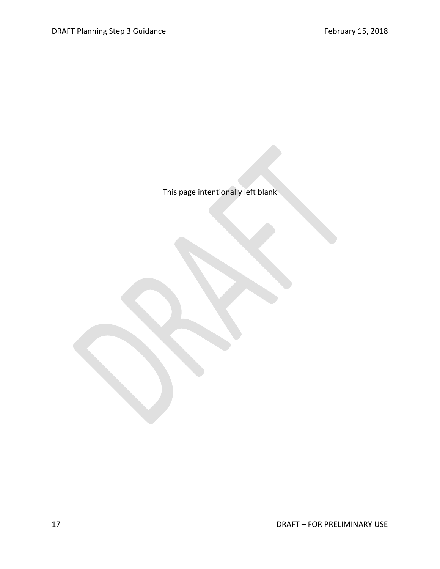This page intentionally left blank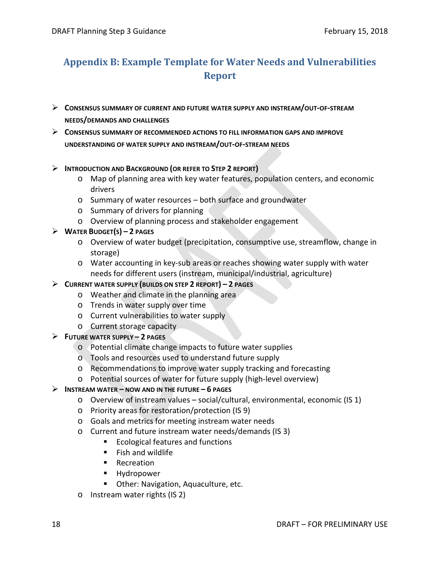# <span id="page-21-0"></span>**Appendix B: Example Template for Water Needs and Vulnerabilities Report**

- **CONSENSUS SUMMARY OF CURRENT AND FUTURE WATER SUPPLY AND INSTREAM/OUT-OF-STREAM NEEDS/DEMANDS AND CHALLENGES**
- **CONSENSUS SUMMARY OF RECOMMENDED ACTIONS TO FILL INFORMATION GAPS AND IMPROVE UNDERSTANDING OF WATER SUPPLY AND INSTREAM/OUT-OF-STREAM NEEDS**

### **INTRODUCTION AND BACKGROUND (OR REFER TO STEP 2 REPORT)**

- o Map of planning area with key water features, population centers, and economic drivers
- o Summary of water resources both surface and groundwater
- o Summary of drivers for planning
- o Overview of planning process and stakeholder engagement
- **WATER BUDGET(S) – 2 PAGES**
	- o Overview of water budget (precipitation, consumptive use, streamflow, change in storage)
	- o Water accounting in key-sub areas or reaches showing water supply with water needs for different users (instream, municipal/industrial, agriculture)
- **CURRENT WATER SUPPLY (BUILDS ON STEP 2 REPORT) – 2 PAGES** 
	- o Weather and climate in the planning area
	- o Trends in water supply over time
	- o Current vulnerabilities to water supply
	- o Current storage capacity
- **FUTURE WATER SUPPLY – 2 PAGES**
	- o Potential climate change impacts to future water supplies
	- o Tools and resources used to understand future supply
	- o Recommendations to improve water supply tracking and forecasting
	- o Potential sources of water for future supply (high-level overview)

### **INSTREAM WATER – NOW AND IN THE FUTURE – 6 PAGES**

- o Overview of instream values social/cultural, environmental, economic (IS 1)
- o Priority areas for restoration/protection (IS 9)
- o Goals and metrics for meeting instream water needs
- o Current and future instream water needs/demands (IS 3)
	- Ecological features and functions
	- $\blacksquare$  Fish and wildlife
	- **Recreation**
	- **Hydropower**
	- **Detama Diviliana**, Aquaculture, etc.
- o Instream water rights (IS 2)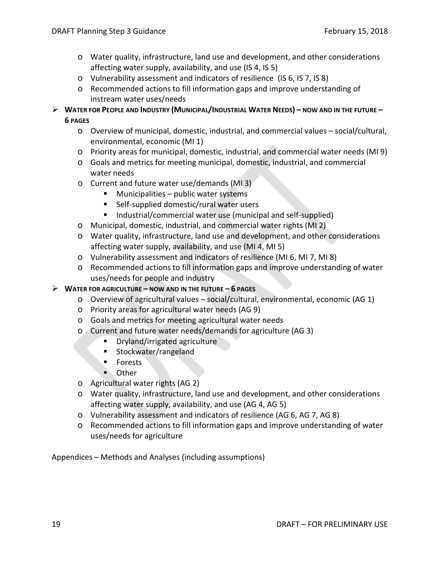- o Water quality, infrastructure, land use and development, and other considerations affecting water supply, availability, and use (IS 4, IS 5)
- o Vulnerability assessment and indicators of resilience (IS 6, IS 7, IS 8)
- o Recommended actions to fill information gaps and improve understanding of instream water uses/needs
- **WATER FOR PEOPLE AND INDUSTRY (MUNICIPAL/INDUSTRIAL WATER NEEDS) – NOW AND IN THE FUTURE – 6 PAGES**
	- o Overview of municipal, domestic, industrial, and commercial values social/cultural, environmental, economic (MI 1)
	- o Priority areas for municipal, domestic, industrial, and commercial water needs (MI 9)
	- o Goals and metrics for meeting municipal, domestic, industrial, and commercial water needs
	- o Current and future water use/demands (MI 3)
		- **Municipalities public water systems**
		- Self-supplied domestic/rural water users
		- **Industrial/commercial water use (municipal and self-supplied)**
	- o Municipal, domestic, industrial, and commercial water rights (MI 2)
	- o Water quality, infrastructure, land use and development, and other considerations affecting water supply, availability, and use (MI 4, MI 5)
	- o Vulnerability assessment and indicators of resilience (MI 6, MI 7, MI 8)
	- o Recommended actions to fill information gaps and improve understanding of water uses/needs for people and industry
- **WATER FOR AGRICULTURE – NOW AND IN THE FUTURE – 6 PAGES**
	- o Overview of agricultural values social/cultural, environmental, economic (AG 1)
	- o Priority areas for agricultural water needs (AG 9)
	- o Goals and metrics for meeting agricultural water needs
	- o Current and future water needs/demands for agriculture (AG 3)
		- Dryland/irrigated agriculture
		- **Stockwater/rangeland**
		- **Forests**
		- **Other**
	- o Agricultural water rights (AG 2)
	- o Water quality, infrastructure, land use and development, and other considerations affecting water supply, availability, and use (AG 4, AG 5)
	- o Vulnerability assessment and indicators of resilience (AG 6, AG 7, AG 8)
	- o Recommended actions to fill information gaps and improve understanding of water uses/needs for agriculture

Appendices – Methods and Analyses (including assumptions)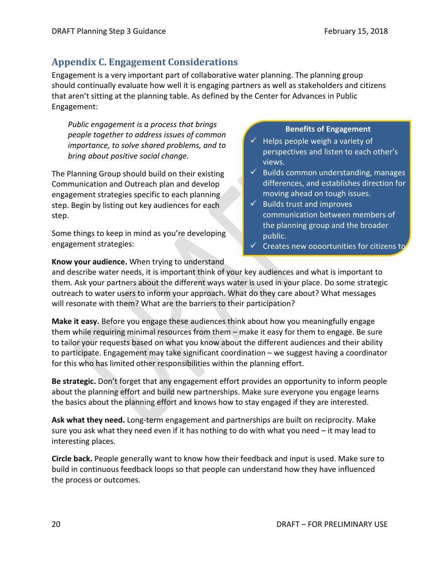## <span id="page-23-0"></span>**Appendix C. Engagement Considerations**

Engagement is a very important part of collaborative water planning. The planning group should continually evaluate how well it is engaging partners as well as stakeholders and citizens that aren't sitting at the planning table. As defined by the Center for Advances in Public Engagement:

*Public engagement is a process that brings people together to address issues of common importance, to solve shared problems, and to bring about positive social change.*

The Planning Group should build on their existing Communication and Outreach plan and develop engagement strategies specific to each planning step. Begin by listing out key audiences for each step.

Some things to keep in mind as you're developing engagement strategies:

### **Benefits of Engagement**

- $\checkmark$  Helps people weigh a variety of perspectives and listen to each other's views.
- $\checkmark$  Builds common understanding, manages differences, and establishes direction for moving ahead on tough issues.
- $\checkmark$  Builds trust and improves communication between members of the planning group and the broader public.

Ī

 $\checkmark$  Creates new opportunities for citizens to

### **Know your audience.** When trying to understand

and describe water needs, it is important think of your key audiences and what is important to them. Ask your partners about the different ways water is used in your place. Do some strategic outreach to water users to inform your approach. What do they care about? What messages will resonate with them? What are the barriers to their participation?

**Make it easy.** Before you engage these audiences think about how you meaningfully engage them while requiring minimal resources from them – make it easy for them to engage. Be sure to tailor your requests based on what you know about the different audiences and their ability to participate. Engagement may take significant coordination – we suggest having a coordinator for this who has limited other responsibilities within the planning effort.

**Be strategic.** Don't forget that any engagement effort provides an opportunity to inform people about the planning effort and build new partnerships. Make sure everyone you engage learns the basics about the planning effort and knows how to stay engaged if they are interested.

**Ask what they need.** Long-term engagement and partnerships are built on reciprocity. Make sure you ask what they need even if it has nothing to do with what you need – it may lead to interesting places.

**Circle back.** People generally want to know how their feedback and input is used. Make sure to build in continuous feedback loops so that people can understand how they have influenced the process or outcomes.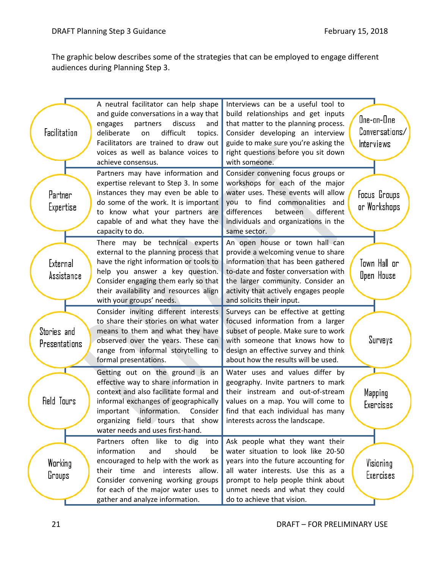The graphic below describes some of the strategies that can be employed to engage different audiences during Planning Step 3.

| <b>Facilitation</b>          | A neutral facilitator can help shape<br>and guide conversations in a way that<br>discuss<br>partners<br>engages<br>and<br>difficult<br>deliberate<br>topics.<br>on<br>Facilitators are trained to draw out<br>voices as well as balance voices to<br>achieve consensus. | Interviews can be a useful tool to<br>build relationships and get inputs<br>One-on-One<br>that matter to the planning process.<br>Conversations/<br>Consider developing an interview<br>guide to make sure you're asking the<br><i>Interviews</i><br>right questions before you sit down<br>with someone. |
|------------------------------|-------------------------------------------------------------------------------------------------------------------------------------------------------------------------------------------------------------------------------------------------------------------------|-----------------------------------------------------------------------------------------------------------------------------------------------------------------------------------------------------------------------------------------------------------------------------------------------------------|
| Partner<br>Expertise         | Partners may have information and<br>expertise relevant to Step 3. In some<br>instances they may even be able to<br>do some of the work. It is important<br>to know what your partners are<br>capable of and what they have the<br>capacity to do.                      | Consider convening focus groups or<br>workshops for each of the major<br>water uses. These events will allow<br>Focus Groups<br>you to find commonalities and<br>or Workshops<br>different<br>differences<br>between<br>individuals and organizations in the<br>same sector.                              |
| External<br>Assistance       | There may be technical experts<br>external to the planning process that<br>have the right information or tools to<br>help you answer a key question.<br>Consider engaging them early so that<br>their availability and resources align<br>with your groups' needs.      | An open house or town hall can<br>provide a welcoming venue to share<br>information that has been gathered<br>Town Hall or<br>to-date and foster conversation with<br>Open House<br>the larger community. Consider an<br>activity that actively engages people<br>and solicits their input.               |
| Stories and<br>Presentations | Consider inviting different interests<br>to share their stories on what water<br>means to them and what they have<br>observed over the years. These can<br>range from informal storytelling to<br>formal presentations.                                                 | Surveys can be effective at getting<br>focused information from a larger<br>subset of people. Make sure to work<br>Surveys<br>with someone that knows how to<br>design an effective survey and think<br>about how the results will be used.                                                               |
| Field Tours                  | Getting out on the ground is an<br>effective way to share information in<br>context and also facilitate formal and<br>informal exchanges of geographically<br>important information. Consider<br>organizing field tours that show<br>water needs and uses first-hand.   | Water uses and values differ by<br>geography. Invite partners to mark<br>their instream and out-of-stream<br>Mapping<br>values on a map. You will come to<br>Exercises<br>find that each individual has many<br>interests across the landscape.                                                           |
| Working<br>Groups            | Partners often like to dig<br>into<br>information<br>should<br>and<br>be<br>encouraged to help with the work as<br>their time and interests allow.<br>Consider convening working groups<br>for each of the major water uses to<br>gather and analyze information.       | Ask people what they want their<br>water situation to look like 20-50<br>years into the future accounting for<br>Visioning<br>all water interests. Use this as a<br>Exercises<br>prompt to help people think about<br>unmet needs and what they could<br>do to achieve that vision.                       |